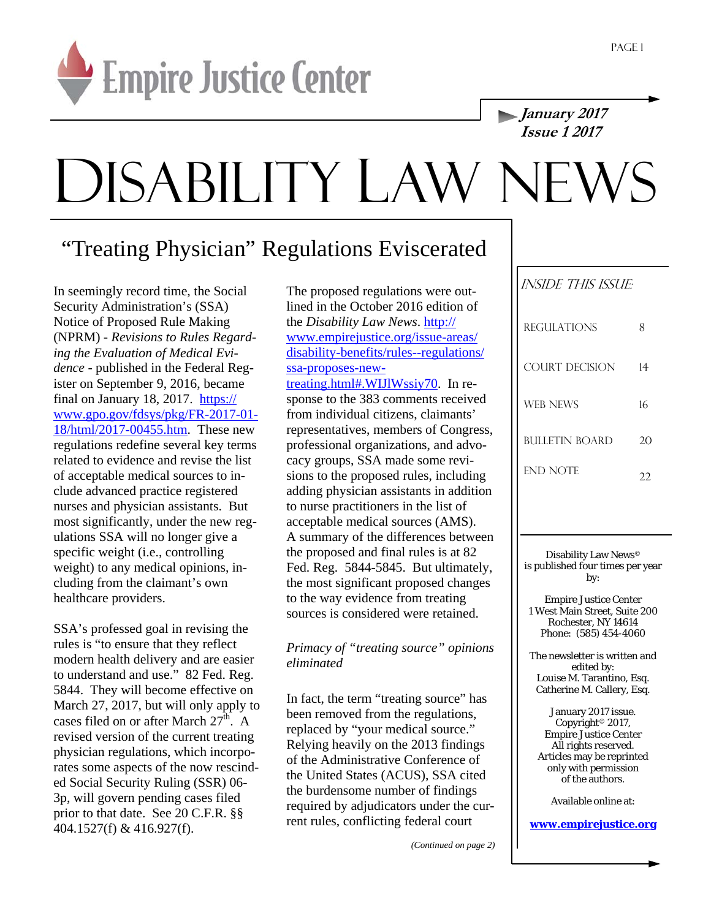

**January 2017 Issue 1 2017** 

## DISABILITY LAW NEWS

## "Treating Physician" Regulations Eviscerated

In seemingly record time, the Social Security Administration's (SSA) Notice of Proposed Rule Making (NPRM) - *Revisions to Rules Regarding the Evaluation of Medical Evidence* - published in the Federal Register on September 9, 2016, became final on January 18, 2017. https:// www.gpo.gov/fdsys/pkg/FR-2017-01- 18/html/2017-00455.htm. These new regulations redefine several key terms related to evidence and revise the list of acceptable medical sources to include advanced practice registered nurses and physician assistants. But most significantly, under the new regulations SSA will no longer give a specific weight (i.e., controlling weight) to any medical opinions, including from the claimant's own healthcare providers.

SSA's professed goal in revising the rules is "to ensure that they reflect modern health delivery and are easier to understand and use." 82 Fed. Reg. 5844. They will become effective on March 27, 2017, but will only apply to cases filed on or after March  $27<sup>th</sup>$ . A revised version of the current treating physician regulations, which incorporates some aspects of the now rescinded Social Security Ruling (SSR) 06- 3p, will govern pending cases filed prior to that date. See 20 C.F.R. §§ 404.1527(f) & 416.927(f).

The proposed regulations were outlined in the October 2016 edition of the *Disability Law News*. http:// www.empirejustice.org/issue-areas/ disability-benefits/rules--regulations/ ssa-proposes-newtreating.html#.WIJlWssiy70. In re-

sponse to the 383 comments received from individual citizens, claimants' representatives, members of Congress, professional organizations, and advocacy groups, SSA made some revisions to the proposed rules, including adding physician assistants in addition to nurse practitioners in the list of acceptable medical sources (AMS). A summary of the differences between the proposed and final rules is at 82 Fed. Reg. 5844-5845. But ultimately, the most significant proposed changes to the way evidence from treating sources is considered were retained.

*Primacy of "treating source" opinions eliminated* 

In fact, the term "treating source" has been removed from the regulations, replaced by "your medical source." Relying heavily on the 2013 findings of the Administrative Conference of the United States (ACUS), SSA cited the burdensome number of findings required by adjudicators under the current rules, conflicting federal court

*(Continued on page 2)* 

| <i>INSIDE THIS ISSUE</i> |    |  |
|--------------------------|----|--|
| <b>REGULATIONS</b>       | 8  |  |
| COURT DECISION           | 14 |  |
| <b>WEB NEWS</b>          | 16 |  |
| BULLETIN BOARD           | 20 |  |
| END NOTE                 |    |  |

Disability Law News© is published four times per year by:

Empire Justice Center 1 West Main Street, Suite 200 Rochester, NY 14614 Phone: (585) 454-4060

The newsletter is written and edited by: Louise M. Tarantino, Esq. Catherine M. Callery, Esq.

January 2017 issue. Copyright© 2017, Empire Justice Center All rights reserved. Articles may be reprinted only with permission of the authors.

Available online at:

**www.empirejustice.org**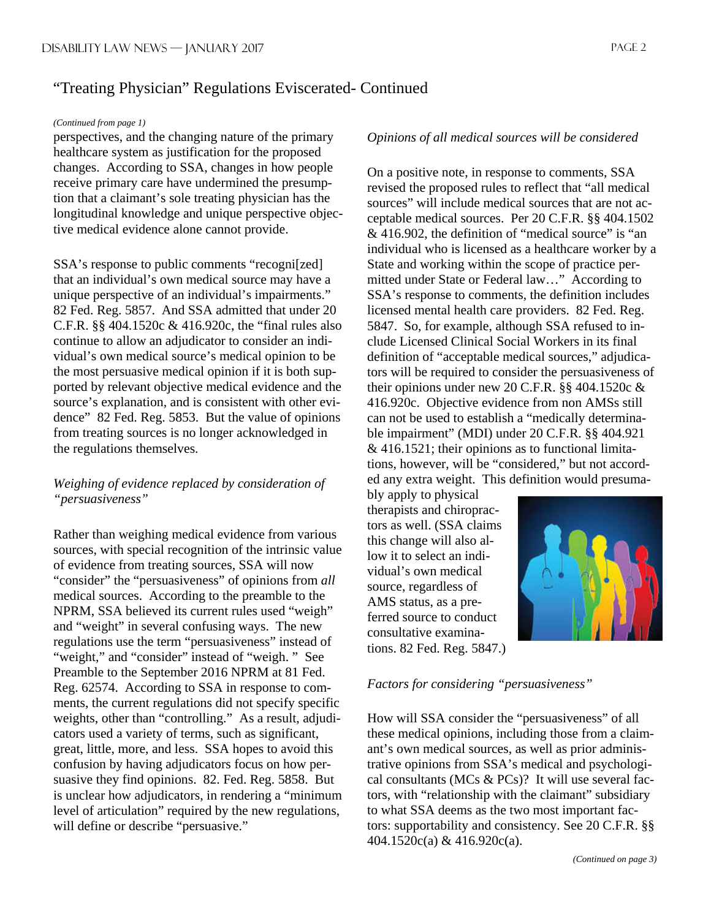#### *(Continued from page 1)*

perspectives, and the changing nature of the primary healthcare system as justification for the proposed changes. According to SSA, changes in how people receive primary care have undermined the presumption that a claimant's sole treating physician has the longitudinal knowledge and unique perspective objective medical evidence alone cannot provide.

SSA's response to public comments "recogni[zed] that an individual's own medical source may have a unique perspective of an individual's impairments." 82 Fed. Reg. 5857. And SSA admitted that under 20 C.F.R. §§ 404.1520c & 416.920c, the "final rules also continue to allow an adjudicator to consider an individual's own medical source's medical opinion to be the most persuasive medical opinion if it is both supported by relevant objective medical evidence and the source's explanation, and is consistent with other evidence" 82 Fed. Reg. 5853. But the value of opinions from treating sources is no longer acknowledged in the regulations themselves.

### *Weighing of evidence replaced by consideration of "persuasiveness"*

Rather than weighing medical evidence from various sources, with special recognition of the intrinsic value of evidence from treating sources, SSA will now "consider" the "persuasiveness" of opinions from *all* medical sources. According to the preamble to the NPRM, SSA believed its current rules used "weigh" and "weight" in several confusing ways. The new regulations use the term "persuasiveness" instead of "weight," and "consider" instead of "weigh." See Preamble to the September 2016 NPRM at 81 Fed. Reg. 62574. According to SSA in response to comments, the current regulations did not specify specific weights, other than "controlling." As a result, adjudicators used a variety of terms, such as significant, great, little, more, and less. SSA hopes to avoid this confusion by having adjudicators focus on how persuasive they find opinions. 82. Fed. Reg. 5858. But is unclear how adjudicators, in rendering a "minimum level of articulation" required by the new regulations, will define or describe "persuasive."

#### *Opinions of all medical sources will be considered*

On a positive note, in response to comments, SSA revised the proposed rules to reflect that "all medical sources" will include medical sources that are not acceptable medical sources. Per 20 C.F.R. §§ 404.1502 & 416.902, the definition of "medical source" is "an individual who is licensed as a healthcare worker by a State and working within the scope of practice permitted under State or Federal law…" According to SSA's response to comments, the definition includes licensed mental health care providers. 82 Fed. Reg. 5847. So, for example, although SSA refused to include Licensed Clinical Social Workers in its final definition of "acceptable medical sources," adjudicators will be required to consider the persuasiveness of their opinions under new 20 C.F.R. §§ 404.1520c & 416.920c. Objective evidence from non AMSs still can not be used to establish a "medically determinable impairment" (MDI) under 20 C.F.R. §§ 404.921 & 416.1521; their opinions as to functional limitations, however, will be "considered," but not accorded any extra weight. This definition would presuma-

bly apply to physical therapists and chiropractors as well. (SSA claims this change will also allow it to select an individual's own medical source, regardless of AMS status, as a preferred source to conduct consultative examinations. 82 Fed. Reg. 5847.)



#### *Factors for considering "persuasiveness"*

How will SSA consider the "persuasiveness" of all these medical opinions, including those from a claimant's own medical sources, as well as prior administrative opinions from SSA's medical and psychological consultants (MCs & PCs)? It will use several factors, with "relationship with the claimant" subsidiary to what SSA deems as the two most important factors: supportability and consistency. See 20 C.F.R. §§ 404.1520c(a) & 416.920c(a).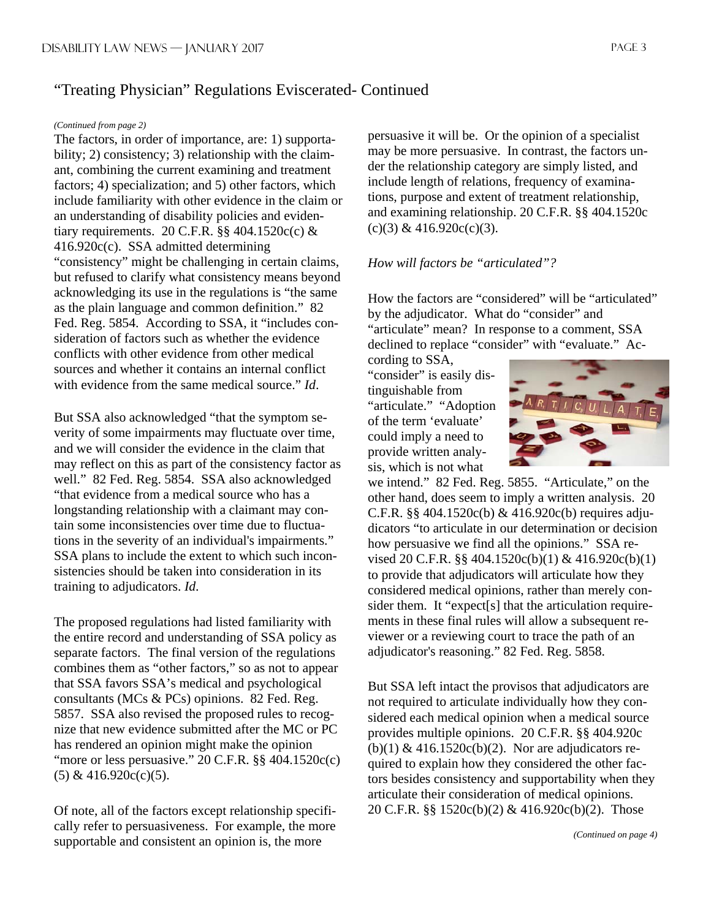#### *(Continued from page 2)*

The factors, in order of importance, are: 1) supportability; 2) consistency; 3) relationship with the claimant, combining the current examining and treatment factors; 4) specialization; and 5) other factors, which include familiarity with other evidence in the claim or an understanding of disability policies and evidentiary requirements. 20 C.F.R.  $\S$ § 404.1520c(c) & 416.920c(c). SSA admitted determining "consistency" might be challenging in certain claims, but refused to clarify what consistency means beyond acknowledging its use in the regulations is "the same as the plain language and common definition." 82 Fed. Reg. 5854. According to SSA, it "includes consideration of factors such as whether the evidence conflicts with other evidence from other medical sources and whether it contains an internal conflict with evidence from the same medical source." *Id*.

But SSA also acknowledged "that the symptom severity of some impairments may fluctuate over time, and we will consider the evidence in the claim that may reflect on this as part of the consistency factor as well." 82 Fed. Reg. 5854. SSA also acknowledged "that evidence from a medical source who has a longstanding relationship with a claimant may contain some inconsistencies over time due to fluctuations in the severity of an individual's impairments." SSA plans to include the extent to which such inconsistencies should be taken into consideration in its training to adjudicators. *Id*.

The proposed regulations had listed familiarity with the entire record and understanding of SSA policy as separate factors. The final version of the regulations combines them as "other factors," so as not to appear that SSA favors SSA's medical and psychological consultants (MCs & PCs) opinions. 82 Fed. Reg. 5857. SSA also revised the proposed rules to recognize that new evidence submitted after the MC or PC has rendered an opinion might make the opinion "more or less persuasive."  $20$  C.F.R.  $\S$ § 404.1520c(c)  $(5)$  & 416.920c(c)(5).

Of note, all of the factors except relationship specifically refer to persuasiveness. For example, the more supportable and consistent an opinion is, the more

persuasive it will be. Or the opinion of a specialist may be more persuasive. In contrast, the factors under the relationship category are simply listed, and include length of relations, frequency of examinations, purpose and extent of treatment relationship, and examining relationship. 20 C.F.R. §§ 404.1520c  $(c)(3)$  & 416.920 $c(c)(3)$ .

#### *How will factors be "articulated"?*

How the factors are "considered" will be "articulated" by the adjudicator. What do "consider" and "articulate" mean? In response to a comment, SSA declined to replace "consider" with "evaluate." Ac-

cording to SSA, "consider" is easily distinguishable from "articulate." "Adoption of the term 'evaluate' could imply a need to provide written analysis, which is not what



we intend." 82 Fed. Reg. 5855. "Articulate," on the other hand, does seem to imply a written analysis. 20 C.F.R. §§ 404.1520c(b) & 416.920c(b) requires adjudicators "to articulate in our determination or decision how persuasive we find all the opinions." SSA revised 20 C.F.R. §§ 404.1520c(b)(1) & 416.920c(b)(1) to provide that adjudicators will articulate how they considered medical opinions, rather than merely consider them. It "expect<sup>[s]</sup> that the articulation requirements in these final rules will allow a subsequent reviewer or a reviewing court to trace the path of an adjudicator's reasoning." 82 Fed. Reg. 5858.

But SSA left intact the provisos that adjudicators are not required to articulate individually how they considered each medical opinion when a medical source provides multiple opinions. 20 C.F.R. §§ 404.920c (b)(1)  $\&$  416.1520c(b)(2). Nor are adjudicators required to explain how they considered the other factors besides consistency and supportability when they articulate their consideration of medical opinions. 20 C.F.R. §§ 1520c(b)(2) & 416.920c(b)(2). Those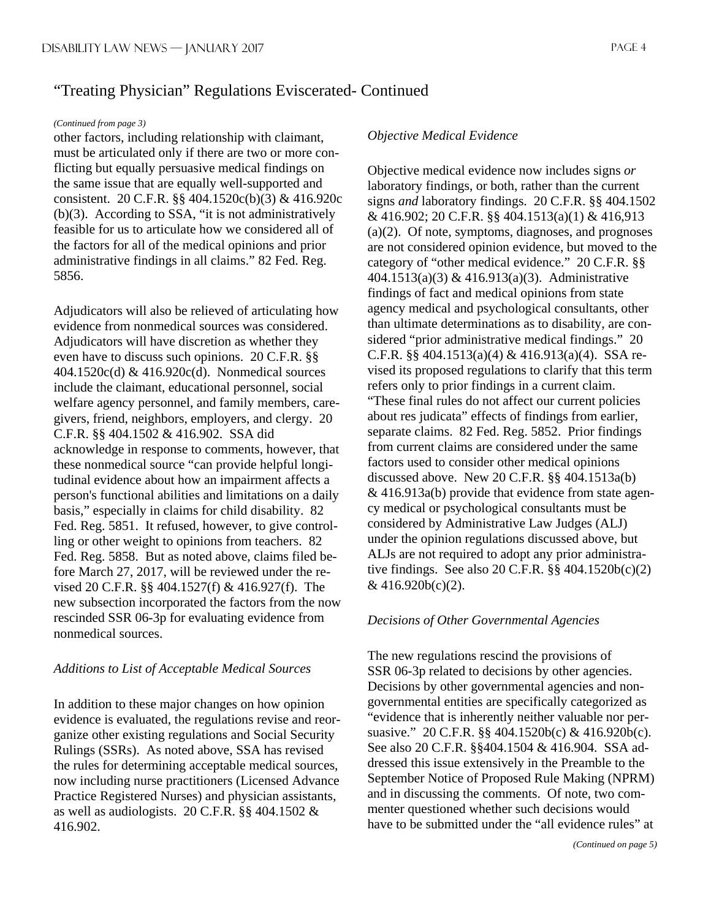#### *(Continued from page 3)*

other factors, including relationship with claimant, must be articulated only if there are two or more conflicting but equally persuasive medical findings on the same issue that are equally well-supported and consistent. 20 C.F.R. §§ 404.1520c(b)(3) & 416.920c (b)(3). According to SSA, "it is not administratively feasible for us to articulate how we considered all of the factors for all of the medical opinions and prior administrative findings in all claims." 82 Fed. Reg. 5856.

Adjudicators will also be relieved of articulating how evidence from nonmedical sources was considered. Adjudicators will have discretion as whether they even have to discuss such opinions. 20 C.F.R. §§ 404.1520c(d) & 416.920c(d). Nonmedical sources include the claimant, educational personnel, social welfare agency personnel, and family members, caregivers, friend, neighbors, employers, and clergy. 20 C.F.R. §§ 404.1502 & 416.902. SSA did acknowledge in response to comments, however, that these nonmedical source "can provide helpful longitudinal evidence about how an impairment affects a person's functional abilities and limitations on a daily basis," especially in claims for child disability. 82 Fed. Reg. 5851. It refused, however, to give controlling or other weight to opinions from teachers. 82 Fed. Reg. 5858. But as noted above, claims filed before March 27, 2017, will be reviewed under the revised 20 C.F.R. §§ 404.1527(f) & 416.927(f). The new subsection incorporated the factors from the now rescinded SSR 06-3p for evaluating evidence from nonmedical sources.

#### *Additions to List of Acceptable Medical Sources*

In addition to these major changes on how opinion evidence is evaluated, the regulations revise and reorganize other existing regulations and Social Security Rulings (SSRs). As noted above, SSA has revised the rules for determining acceptable medical sources, now including nurse practitioners (Licensed Advance Practice Registered Nurses) and physician assistants, as well as audiologists. 20 C.F.R. §§ 404.1502 & 416.902.

#### *Objective Medical Evidence*

Objective medical evidence now includes signs *or* laboratory findings, or both, rather than the current signs *and* laboratory findings. 20 C.F.R. §§ 404.1502 & 416.902; 20 C.F.R. §§ 404.1513(a)(1) & 416,913 (a)(2). Of note, symptoms, diagnoses, and prognoses are not considered opinion evidence, but moved to the category of "other medical evidence." 20 C.F.R. §§ 404.1513(a)(3) & 416.913(a)(3). Administrative findings of fact and medical opinions from state agency medical and psychological consultants, other than ultimate determinations as to disability, are considered "prior administrative medical findings." 20 C.F.R. §§ 404.1513(a)(4) & 416.913(a)(4). SSA revised its proposed regulations to clarify that this term refers only to prior findings in a current claim. "These final rules do not affect our current policies about res judicata" effects of findings from earlier, separate claims. 82 Fed. Reg. 5852. Prior findings from current claims are considered under the same factors used to consider other medical opinions discussed above. New 20 C.F.R. §§ 404.1513a(b) & 416.913a(b) provide that evidence from state agency medical or psychological consultants must be considered by Administrative Law Judges (ALJ) under the opinion regulations discussed above, but ALJs are not required to adopt any prior administrative findings. See also 20 C.F.R. §§ 404.1520b(c)(2) & 416.920b(c)(2).

#### *Decisions of Other Governmental Agencies*

The new regulations rescind the provisions of SSR 06-3p related to decisions by other agencies. Decisions by other governmental agencies and nongovernmental entities are specifically categorized as "evidence that is inherently neither valuable nor persuasive." 20 C.F.R. §§ 404.1520b(c) & 416.920b(c). See also 20 C.F.R. §§404.1504 & 416.904. SSA addressed this issue extensively in the Preamble to the September Notice of Proposed Rule Making (NPRM) and in discussing the comments. Of note, two commenter questioned whether such decisions would have to be submitted under the "all evidence rules" at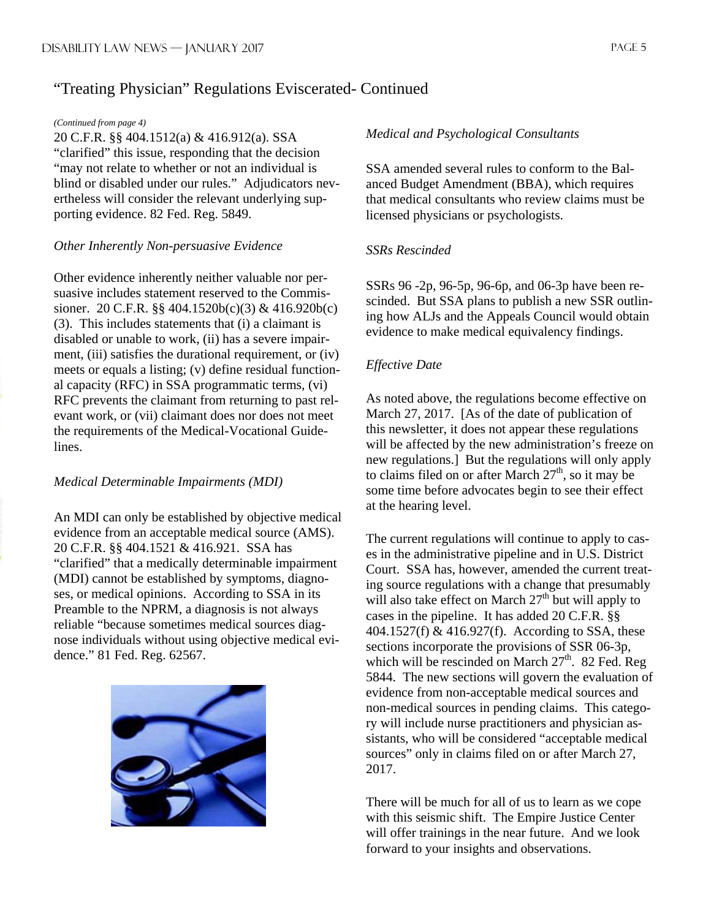#### *(Continued from page 4)*

20 C.F.R. §§ 404.1512(a) & 416.912(a). SSA "clarified" this issue, responding that the decision "may not relate to whether or not an individual is blind or disabled under our rules." Adjudicators nevertheless will consider the relevant underlying supporting evidence. 82 Fed. Reg. 5849.

#### *Other Inherently Non-persuasive Evidence*

Other evidence inherently neither valuable nor persuasive includes statement reserved to the Commissioner. 20 C.F.R. §§ 404.1520b(c)(3) & 416.920b(c) (3). This includes statements that (i) a claimant is disabled or unable to work, (ii) has a severe impairment, (iii) satisfies the durational requirement, or (iv) meets or equals a listing; (v) define residual functional capacity (RFC) in SSA programmatic terms, (vi) RFC prevents the claimant from returning to past relevant work, or (vii) claimant does nor does not meet the requirements of the Medical-Vocational Guidelines.

#### *Medical Determinable Impairments (MDI)*

An MDI can only be established by objective medical evidence from an acceptable medical source (AMS). 20 C.F.R. §§ 404.1521 & 416.921. SSA has "clarified" that a medically determinable impairment (MDI) cannot be established by symptoms, diagnoses, or medical opinions. According to SSA in its Preamble to the NPRM, a diagnosis is not always reliable "because sometimes medical sources diagnose individuals without using objective medical evidence." 81 Fed. Reg. 62567.



#### *Medical and Psychological Consultants*

SSA amended several rules to conform to the Balanced Budget Amendment (BBA), which requires that medical consultants who review claims must be licensed physicians or psychologists.

#### *SSRs Rescinded*

SSRs 96 -2p, 96-5p, 96-6p, and 06-3p have been rescinded. But SSA plans to publish a new SSR outlining how ALJs and the Appeals Council would obtain evidence to make medical equivalency findings.

### *Effective Date*

As noted above, the regulations become effective on March 27, 2017. [As of the date of publication of this newsletter, it does not appear these regulations will be affected by the new administration's freeze on new regulations.] But the regulations will only apply to claims filed on or after March  $27<sup>th</sup>$ , so it may be some time before advocates begin to see their effect at the hearing level.

The current regulations will continue to apply to cases in the administrative pipeline and in U.S. District Court. SSA has, however, amended the current treating source regulations with a change that presumably will also take effect on March  $27<sup>th</sup>$  but will apply to cases in the pipeline. It has added 20 C.F.R. §§ 404.1527(f) & 416.927(f). According to SSA, these sections incorporate the provisions of SSR 06-3p, which will be rescinded on March  $27<sup>th</sup>$ . 82 Fed. Reg 5844. The new sections will govern the evaluation of evidence from non-acceptable medical sources and non-medical sources in pending claims. This category will include nurse practitioners and physician assistants, who will be considered "acceptable medical sources" only in claims filed on or after March 27, 2017.

There will be much for all of us to learn as we cope with this seismic shift. The Empire Justice Center will offer trainings in the near future. And we look forward to your insights and observations.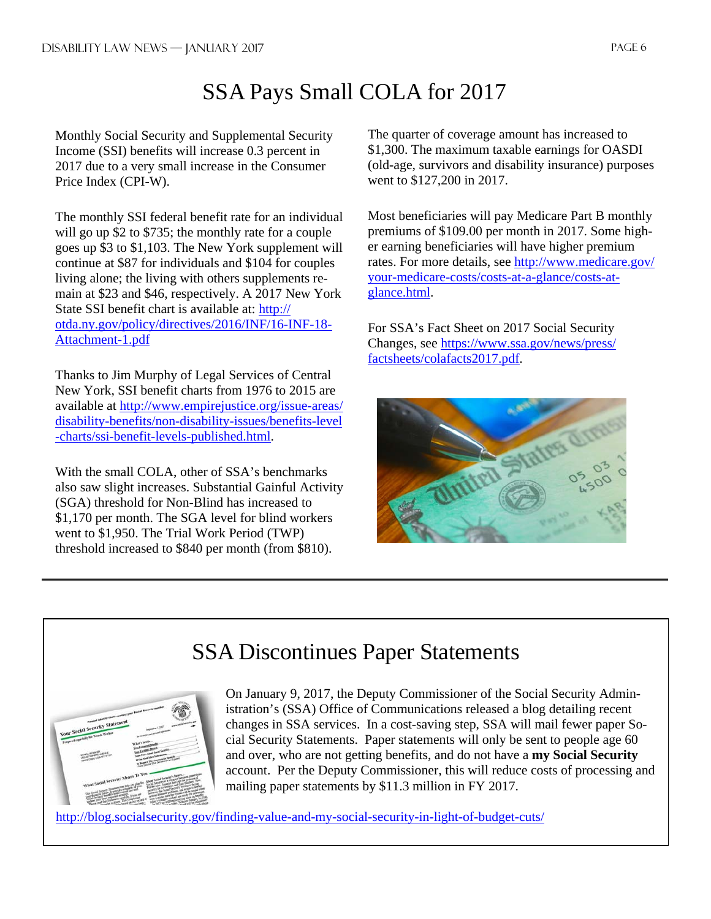## SSA Pays Small COLA for 2017

Monthly Social Security and Supplemental Security Income (SSI) benefits will increase 0.3 percent in 2017 due to a very small increase in the Consumer Price Index (CPI-W).

The monthly SSI federal benefit rate for an individual will go up \$2 to \$735; the monthly rate for a couple goes up \$3 to \$1,103. The New York supplement will continue at \$87 for individuals and \$104 for couples living alone; the living with others supplements remain at \$23 and \$46, respectively. A 2017 New York State SSI benefit chart is available at: http:// otda.ny.gov/policy/directives/2016/INF/16-INF-18- Attachment-1.pdf

Thanks to Jim Murphy of Legal Services of Central New York, SSI benefit charts from 1976 to 2015 are available at http://www.empirejustice.org/issue-areas/ disability-benefits/non-disability-issues/benefits-level -charts/ssi-benefit-levels-published.html.

With the small COLA, other of SSA's benchmarks also saw slight increases. Substantial Gainful Activity (SGA) threshold for Non-Blind has increased to \$1,170 per month. The SGA level for blind workers went to \$1,950. The Trial Work Period (TWP) threshold increased to \$840 per month (from \$810).

The quarter of coverage amount has increased to \$1,300. The maximum taxable earnings for OASDI (old-age, survivors and disability insurance) purposes went to \$127,200 in 2017.

Most beneficiaries will pay Medicare Part B monthly premiums of \$109.00 per month in 2017. Some higher earning beneficiaries will have higher premium rates. For more details, see http://www.medicare.gov/ your-medicare-costs/costs-at-a-glance/costs-atglance.html.

For SSA's Fact Sheet on 2017 Social Security Changes, see https://www.ssa.gov/news/press/ factsheets/colafacts2017.pdf.



## SSA Discontinues Paper Statements



On January 9, 2017, the Deputy Commissioner of the Social Security Administration's (SSA) Office of Communications released a blog detailing recent changes in SSA services. In a cost-saving step, SSA will mail fewer paper Social Security Statements. Paper statements will only be sent to people age 60 and over, who are not getting benefits, and do not have a **my Social Security** account. Per the Deputy Commissioner, this will reduce costs of processing and mailing paper statements by \$11.3 million in FY 2017.

http://blog.socialsecurity.gov/finding-value-and-my-social-security-in-light-of-budget-cuts/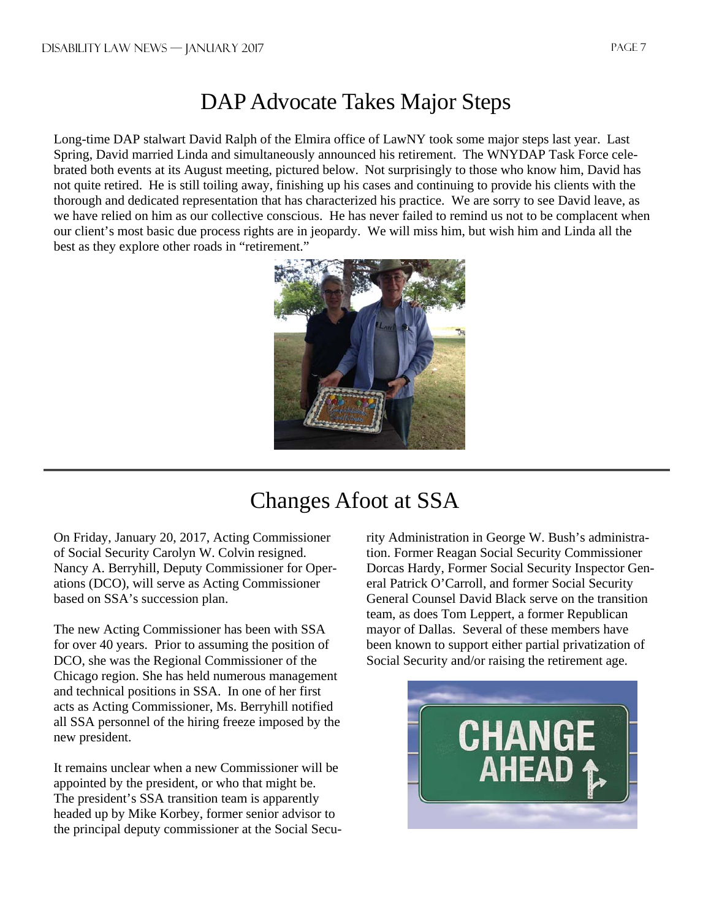## DAP Advocate Takes Major Steps

Long-time DAP stalwart David Ralph of the Elmira office of LawNY took some major steps last year. Last Spring, David married Linda and simultaneously announced his retirement. The WNYDAP Task Force celebrated both events at its August meeting, pictured below. Not surprisingly to those who know him, David has not quite retired. He is still toiling away, finishing up his cases and continuing to provide his clients with the thorough and dedicated representation that has characterized his practice. We are sorry to see David leave, as we have relied on him as our collective conscious. He has never failed to remind us not to be complacent when our client's most basic due process rights are in jeopardy. We will miss him, but wish him and Linda all the best as they explore other roads in "retirement."



## Changes Afoot at SSA

On Friday, January 20, 2017, Acting Commissioner of Social Security Carolyn W. Colvin resigned. Nancy A. Berryhill, Deputy Commissioner for Operations (DCO), will serve as Acting Commissioner based on SSA's succession plan.

The new Acting Commissioner has been with SSA for over 40 years. Prior to assuming the position of DCO, she was the Regional Commissioner of the Chicago region. She has held numerous management and technical positions in SSA. In one of her first acts as Acting Commissioner, Ms. Berryhill notified all SSA personnel of the hiring freeze imposed by the new president.

It remains unclear when a new Commissioner will be appointed by the president, or who that might be. The president's SSA transition team is apparently headed up by Mike Korbey, former senior advisor to the principal deputy commissioner at the Social Security Administration in George W. Bush's administration. Former Reagan Social Security Commissioner Dorcas Hardy, Former Social Security Inspector General Patrick O'Carroll, and former Social Security General Counsel David Black serve on the transition team, as does Tom Leppert, a former Republican mayor of Dallas. Several of these members have been known to support either partial privatization of Social Security and/or raising the retirement age.

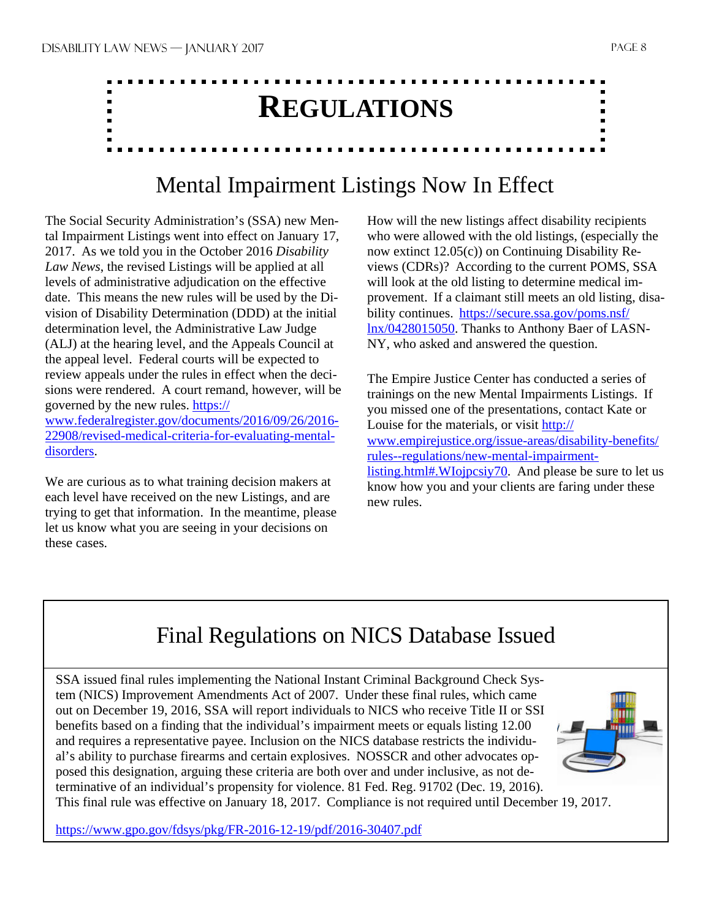# **REGULATIONS**

## Mental Impairment Listings Now In Effect

The Social Security Administration's (SSA) new Mental Impairment Listings went into effect on January 17, 2017. As we told you in the October 2016 *Disability Law News*, the revised Listings will be applied at all levels of administrative adjudication on the effective date. This means the new rules will be used by the Division of Disability Determination (DDD) at the initial determination level, the Administrative Law Judge (ALJ) at the hearing level, and the Appeals Council at the appeal level. Federal courts will be expected to review appeals under the rules in effect when the decisions were rendered. A court remand, however, will be governed by the new rules. https:// www.federalregister.gov/documents/2016/09/26/2016-

22908/revised-medical-criteria-for-evaluating-mentaldisorders.

We are curious as to what training decision makers at each level have received on the new Listings, and are trying to get that information. In the meantime, please let us know what you are seeing in your decisions on these cases.

How will the new listings affect disability recipients who were allowed with the old listings, (especially the now extinct 12.05(c)) on Continuing Disability Reviews (CDRs)? According to the current POMS, SSA will look at the old listing to determine medical improvement. If a claimant still meets an old listing, disability continues. https://secure.ssa.gov/poms.nsf/ lnx/0428015050. Thanks to Anthony Baer of LASN-NY, who asked and answered the question.

The Empire Justice Center has conducted a series of trainings on the new Mental Impairments Listings. If you missed one of the presentations, contact Kate or Louise for the materials, or visit http:// www.empirejustice.org/issue-areas/disability-benefits/ rules--regulations/new-mental-impairmentlisting.html#.WIojpcsiy70. And please be sure to let us know how you and your clients are faring under these new rules.

## Final Regulations on NICS Database Issued

SSA issued final rules implementing the National Instant Criminal Background Check System (NICS) Improvement Amendments Act of 2007. Under these final rules, which came out on December 19, 2016, SSA will report individuals to NICS who receive Title II or SSI benefits based on a finding that the individual's impairment meets or equals listing 12.00 and requires a representative payee. Inclusion on the NICS database restricts the individual's ability to purchase firearms and certain explosives. NOSSCR and other advocates opposed this designation, arguing these criteria are both over and under inclusive, as not determinative of an individual's propensity for violence. 81 Fed. Reg. 91702 (Dec. 19, 2016).



This final rule was effective on January 18, 2017. Compliance is not required until December 19, 2017.

https://www.gpo.gov/fdsys/pkg/FR-2016-12-19/pdf/2016-30407.pdf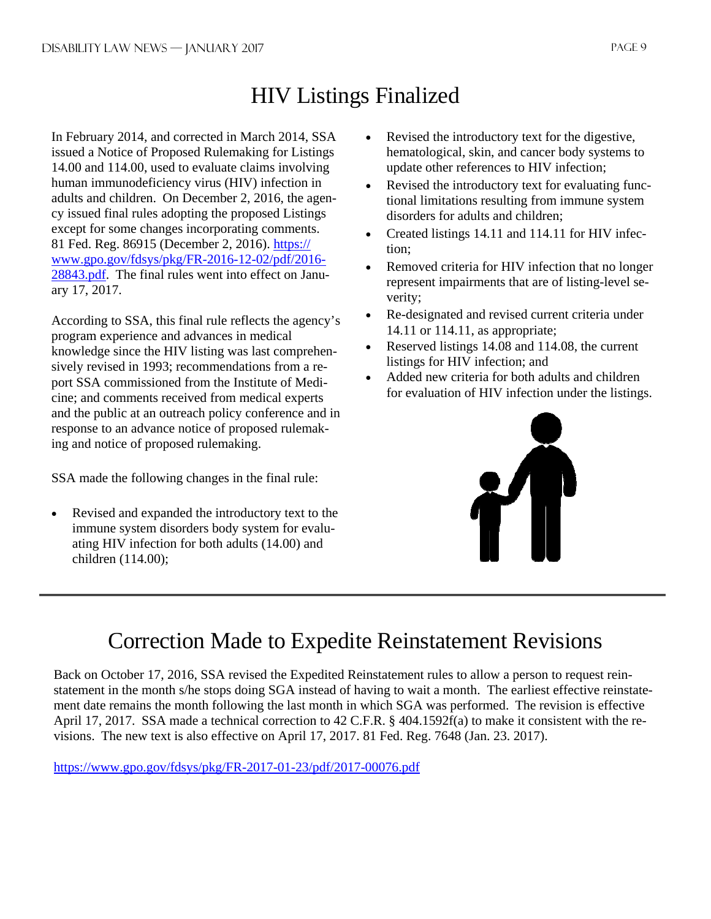## HIV Listings Finalized

In February 2014, and corrected in March 2014, SSA issued a Notice of Proposed Rulemaking for Listings 14.00 and 114.00, used to evaluate claims involving human immunodeficiency virus (HIV) infection in adults and children. On December 2, 2016, the agency issued final rules adopting the proposed Listings except for some changes incorporating comments. 81 Fed. Reg. 86915 (December 2, 2016). https:// www.gpo.gov/fdsys/pkg/FR-2016-12-02/pdf/2016- 28843.pdf. The final rules went into effect on January 17, 2017.

According to SSA, this final rule reflects the agency's program experience and advances in medical knowledge since the HIV listing was last comprehensively revised in 1993; recommendations from a report SSA commissioned from the Institute of Medicine; and comments received from medical experts and the public at an outreach policy conference and in response to an advance notice of proposed rulemaking and notice of proposed rulemaking.

SSA made the following changes in the final rule:

• Revised and expanded the introductory text to the immune system disorders body system for evaluating HIV infection for both adults (14.00) and children (114.00);

- Revised the introductory text for the digestive, hematological, skin, and cancer body systems to update other references to HIV infection;
- Revised the introductory text for evaluating functional limitations resulting from immune system disorders for adults and children;
- Created listings 14.11 and 114.11 for HIV infection;
- Removed criteria for HIV infection that no longer represent impairments that are of listing-level severity;
- Re-designated and revised current criteria under 14.11 or 114.11, as appropriate;
- Reserved listings 14.08 and 114.08, the current listings for HIV infection; and
- Added new criteria for both adults and children for evaluation of HIV infection under the listings.



## Correction Made to Expedite Reinstatement Revisions

Back on October 17, 2016, SSA revised the Expedited Reinstatement rules to allow a person to request reinstatement in the month s/he stops doing SGA instead of having to wait a month. The earliest effective reinstatement date remains the month following the last month in which SGA was performed. The revision is effective April 17, 2017. SSA made a technical correction to 42 C.F.R. § 404.1592f(a) to make it consistent with the revisions. The new text is also effective on April 17, 2017. 81 Fed. Reg. 7648 (Jan. 23. 2017).

https://www.gpo.gov/fdsys/pkg/FR-2017-01-23/pdf/2017-00076.pdf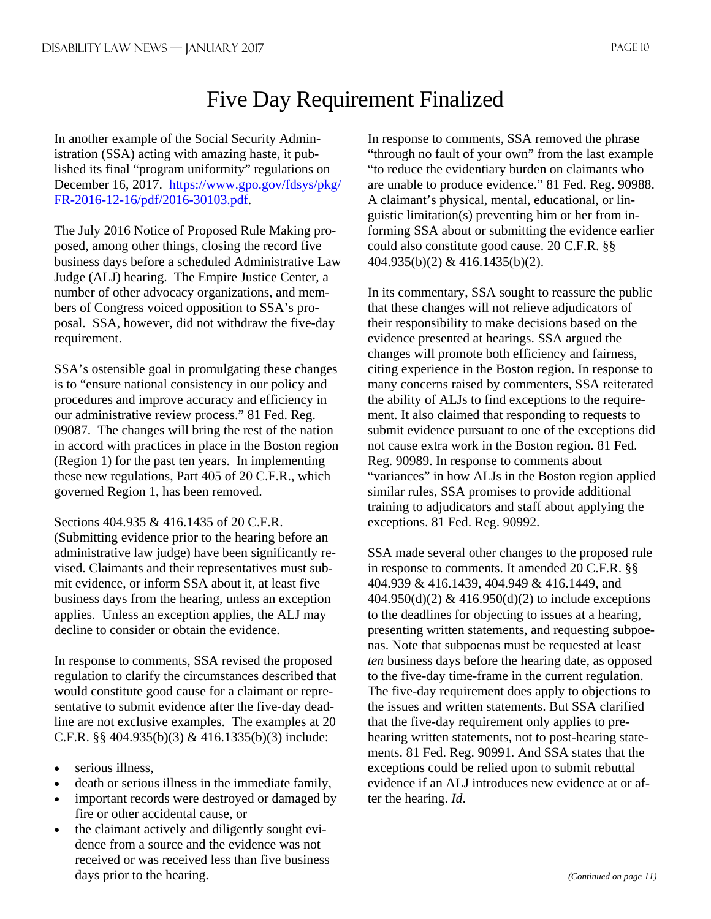## Five Day Requirement Finalized

In another example of the Social Security Administration (SSA) acting with amazing haste, it published its final "program uniformity" regulations on December 16, 2017. https://www.gpo.gov/fdsys/pkg/ FR-2016-12-16/pdf/2016-30103.pdf.

The July 2016 Notice of Proposed Rule Making proposed, among other things, closing the record five business days before a scheduled Administrative Law Judge (ALJ) hearing. The Empire Justice Center, a number of other advocacy organizations, and members of Congress voiced opposition to SSA's proposal. SSA, however, did not withdraw the five-day requirement.

SSA's ostensible goal in promulgating these changes is to "ensure national consistency in our policy and procedures and improve accuracy and efficiency in our administrative review process." 81 Fed. Reg. 09087. The changes will bring the rest of the nation in accord with practices in place in the Boston region (Region 1) for the past ten years. In implementing these new regulations, Part 405 of 20 C.F.R., which governed Region 1, has been removed.

Sections 404.935 & 416.1435 of 20 C.F.R. (Submitting evidence prior to the hearing before an administrative law judge) have been significantly revised. Claimants and their representatives must submit evidence, or inform SSA about it, at least five business days from the hearing, unless an exception applies. Unless an exception applies, the ALJ may decline to consider or obtain the evidence.

In response to comments, SSA revised the proposed regulation to clarify the circumstances described that would constitute good cause for a claimant or representative to submit evidence after the five-day deadline are not exclusive examples. The examples at 20 C.F.R. §§ 404.935(b)(3) & 416.1335(b)(3) include:

- serious illness.
- death or serious illness in the immediate family,
- important records were destroyed or damaged by fire or other accidental cause, or
- the claimant actively and diligently sought evidence from a source and the evidence was not received or was received less than five business days prior to the hearing.

In response to comments, SSA removed the phrase "through no fault of your own" from the last example "to reduce the evidentiary burden on claimants who are unable to produce evidence." 81 Fed. Reg. 90988. A claimant's physical, mental, educational, or linguistic limitation(s) preventing him or her from informing SSA about or submitting the evidence earlier could also constitute good cause. 20 C.F.R. §§ 404.935(b)(2) & 416.1435(b)(2).

In its commentary, SSA sought to reassure the public that these changes will not relieve adjudicators of their responsibility to make decisions based on the evidence presented at hearings. SSA argued the changes will promote both efficiency and fairness, citing experience in the Boston region. In response to many concerns raised by commenters, SSA reiterated the ability of ALJs to find exceptions to the requirement. It also claimed that responding to requests to submit evidence pursuant to one of the exceptions did not cause extra work in the Boston region. 81 Fed. Reg. 90989. In response to comments about "variances" in how ALJs in the Boston region applied similar rules, SSA promises to provide additional training to adjudicators and staff about applying the exceptions. 81 Fed. Reg. 90992.

SSA made several other changes to the proposed rule in response to comments. It amended 20 C.F.R. §§ 404.939 & 416.1439, 404.949 & 416.1449, and  $404.950(d)(2) \& 416.950(d)(2)$  to include exceptions to the deadlines for objecting to issues at a hearing, presenting written statements, and requesting subpoenas. Note that subpoenas must be requested at least *ten* business days before the hearing date, as opposed to the five-day time-frame in the current regulation. The five-day requirement does apply to objections to the issues and written statements. But SSA clarified that the five-day requirement only applies to prehearing written statements, not to post-hearing statements. 81 Fed. Reg. 90991. And SSA states that the exceptions could be relied upon to submit rebuttal evidence if an ALJ introduces new evidence at or after the hearing. *Id*.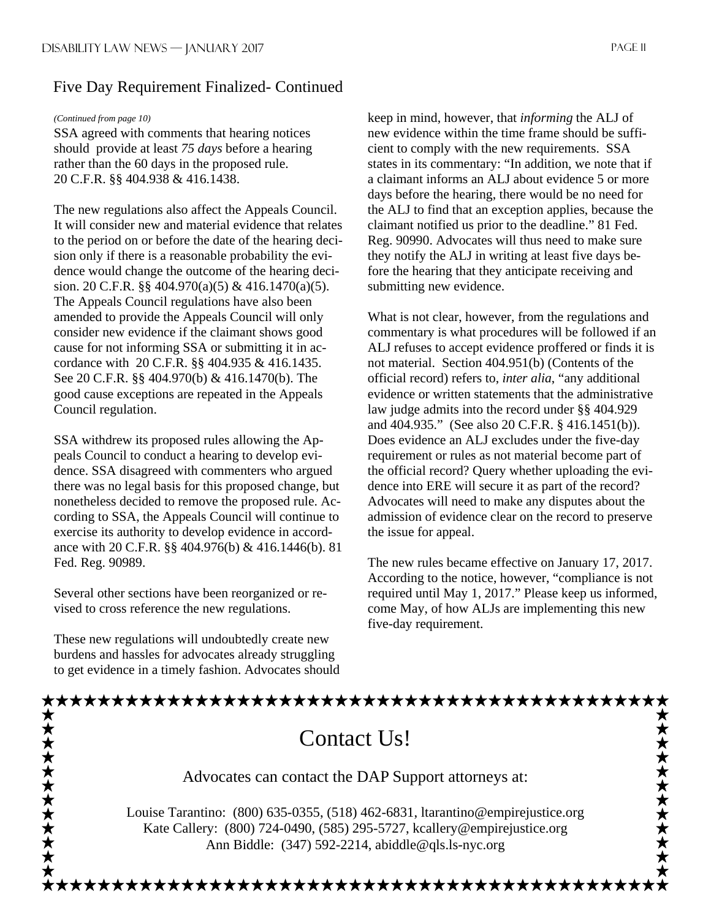## Five Day Requirement Finalized- Continued

#### *(Continued from page 10)*

SSA agreed with comments that hearing notices should provide at least *75 days* before a hearing rather than the 60 days in the proposed rule. 20 C.F.R. §§ 404.938 & 416.1438.

The new regulations also affect the Appeals Council. It will consider new and material evidence that relates to the period on or before the date of the hearing decision only if there is a reasonable probability the evidence would change the outcome of the hearing decision. 20 C.F.R. §§ 404.970(a)(5) & 416.1470(a)(5). The Appeals Council regulations have also been amended to provide the Appeals Council will only consider new evidence if the claimant shows good cause for not informing SSA or submitting it in accordance with 20 C.F.R. §§ 404.935 & 416.1435. See 20 C.F.R. §§ 404.970(b) & 416.1470(b). The good cause exceptions are repeated in the Appeals Council regulation.

SSA withdrew its proposed rules allowing the Appeals Council to conduct a hearing to develop evidence. SSA disagreed with commenters who argued there was no legal basis for this proposed change, but nonetheless decided to remove the proposed rule. According to SSA, the Appeals Council will continue to exercise its authority to develop evidence in accordance with 20 C.F.R. §§ 404.976(b) & 416.1446(b). 81 Fed. Reg. 90989.

Several other sections have been reorganized or revised to cross reference the new regulations.

These new regulations will undoubtedly create new burdens and hassles for advocates already struggling to get evidence in a timely fashion. Advocates should keep in mind, however, that *informing* the ALJ of new evidence within the time frame should be sufficient to comply with the new requirements. SSA states in its commentary: "In addition, we note that if a claimant informs an ALJ about evidence 5 or more days before the hearing, there would be no need for the ALJ to find that an exception applies, because the claimant notified us prior to the deadline." 81 Fed. Reg. 90990. Advocates will thus need to make sure they notify the ALJ in writing at least five days before the hearing that they anticipate receiving and submitting new evidence.

What is not clear, however, from the regulations and commentary is what procedures will be followed if an ALJ refuses to accept evidence proffered or finds it is not material. Section 404.951(b) (Contents of the official record) refers to, *inter alia*, "any additional evidence or written statements that the administrative law judge admits into the record under §§ 404.929 and 404.935." (See also 20 C.F.R. § 416.1451(b)). Does evidence an ALJ excludes under the five-day requirement or rules as not material become part of the official record? Query whether uploading the evidence into ERE will secure it as part of the record? Advocates will need to make any disputes about the admission of evidence clear on the record to preserve the issue for appeal.

The new rules became effective on January 17, 2017. According to the notice, however, "compliance is not required until May 1, 2017." Please keep us informed, come May, of how ALJs are implementing this new five-day requirement.

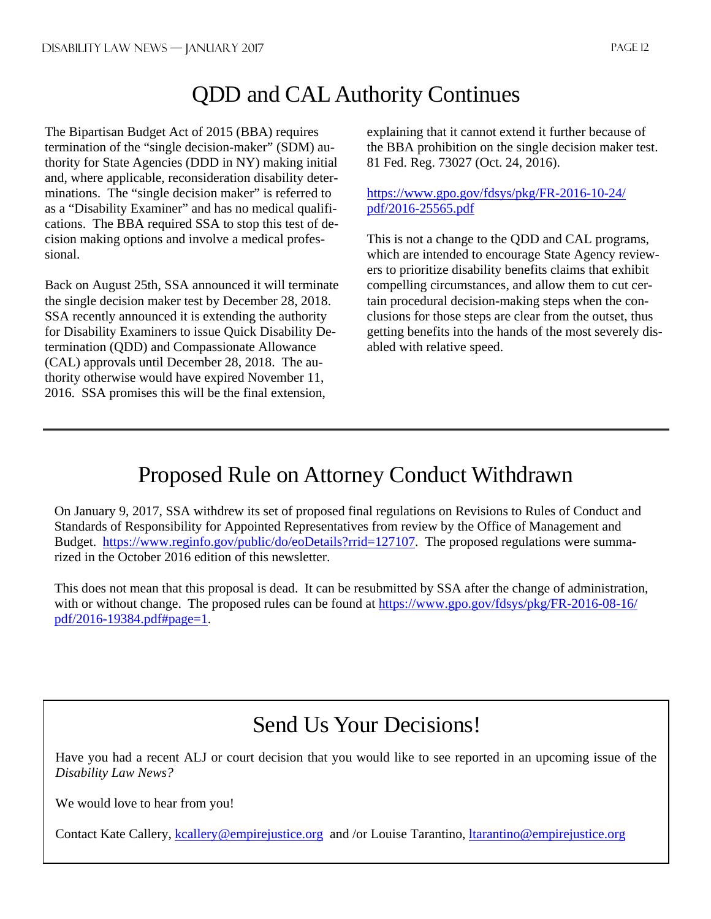## QDD and CAL Authority Continues

The Bipartisan Budget Act of 2015 (BBA) requires termination of the "single decision-maker" (SDM) authority for State Agencies (DDD in NY) making initial and, where applicable, reconsideration disability determinations. The "single decision maker" is referred to as a "Disability Examiner" and has no medical qualifications. The BBA required SSA to stop this test of decision making options and involve a medical professional.

Back on August 25th, SSA announced it will terminate the single decision maker test by December 28, 2018. SSA recently announced it is extending the authority for Disability Examiners to issue Quick Disability Determination (QDD) and Compassionate Allowance (CAL) approvals until December 28, 2018. The authority otherwise would have expired November 11, 2016. SSA promises this will be the final extension,

explaining that it cannot extend it further because of the BBA prohibition on the single decision maker test. 81 Fed. Reg. 73027 (Oct. 24, 2016).

https://www.gpo.gov/fdsys/pkg/FR-2016-10-24/ pdf/2016-25565.pdf

This is not a change to the QDD and CAL programs, which are intended to encourage State Agency reviewers to prioritize disability benefits claims that exhibit compelling circumstances, and allow them to cut certain procedural decision-making steps when the conclusions for those steps are clear from the outset, thus getting benefits into the hands of the most severely disabled with relative speed.

## Proposed Rule on Attorney Conduct Withdrawn

On January 9, 2017, SSA withdrew its set of proposed final regulations on Revisions to Rules of Conduct and Standards of Responsibility for Appointed Representatives from review by the Office of Management and Budget. https://www.reginfo.gov/public/do/eoDetails?rrid=127107. The proposed regulations were summarized in the October 2016 edition of this newsletter.

This does not mean that this proposal is dead. It can be resubmitted by SSA after the change of administration, with or without change. The proposed rules can be found at https://www.gpo.gov/fdsys/pkg/FR-2016-08-16/ pdf/2016-19384.pdf#page=1.

## Send Us Your Decisions!

Have you had a recent ALJ or court decision that you would like to see reported in an upcoming issue of the *Disability Law News?*

We would love to hear from you!

Contact Kate Callery, kcallery@empirejustice.org and /or Louise Tarantino, ltarantino@empirejustice.org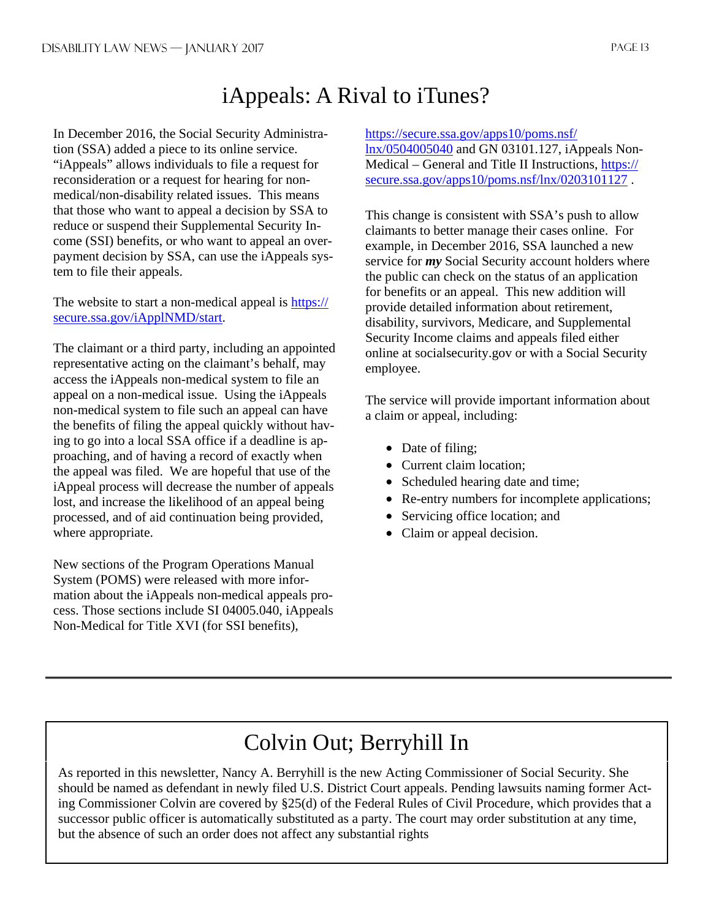## iAppeals: A Rival to iTunes?

In December 2016, the Social Security Administration (SSA) added a piece to its online service. "iAppeals" allows individuals to file a request for reconsideration or a request for hearing for nonmedical/non-disability related issues. This means that those who want to appeal a decision by SSA to reduce or suspend their Supplemental Security Income (SSI) benefits, or who want to appeal an overpayment decision by SSA, can use the iAppeals system to file their appeals.

The website to start a non-medical appeal is https:// secure.ssa.gov/iApplNMD/start.

The claimant or a third party, including an appointed representative acting on the claimant's behalf, may access the iAppeals non-medical system to file an appeal on a non-medical issue. Using the iAppeals non-medical system to file such an appeal can have the benefits of filing the appeal quickly without having to go into a local SSA office if a deadline is approaching, and of having a record of exactly when the appeal was filed. We are hopeful that use of the iAppeal process will decrease the number of appeals lost, and increase the likelihood of an appeal being processed, and of aid continuation being provided, where appropriate.

New sections of the Program Operations Manual System (POMS) were released with more information about the iAppeals non-medical appeals process. Those sections include SI 04005.040, iAppeals Non-Medical for Title XVI (for SSI benefits),

### https://secure.ssa.gov/apps10/poms.nsf/

lnx/0504005040 and GN 03101.127, iAppeals Non-Medical – General and Title II Instructions, https:// secure.ssa.gov/apps10/poms.nsf/lnx/0203101127 .

This change is consistent with SSA's push to allow claimants to better manage their cases online. For example, in December 2016, SSA launched a new service for *my* Social Security account holders where the public can check on the status of an application for benefits or an appeal. This new addition will provide detailed information about retirement, disability, survivors, Medicare, and Supplemental Security Income claims and appeals filed either online at socialsecurity.gov or with a Social Security employee.

The service will provide important information about a claim or appeal, including:

- Date of filing;
- Current claim location;
- Scheduled hearing date and time;
- Re-entry numbers for incomplete applications;
- Servicing office location; and
- Claim or appeal decision.

## Colvin Out; Berryhill In

As reported in this newsletter, Nancy A. Berryhill is the new Acting Commissioner of Social Security. She should be named as defendant in newly filed U.S. District Court appeals. Pending lawsuits naming former Acting Commissioner Colvin are covered by §25(d) of the Federal Rules of Civil Procedure, which provides that a successor public officer is automatically substituted as a party. The court may order substitution at any time, but the absence of such an order does not affect any substantial rights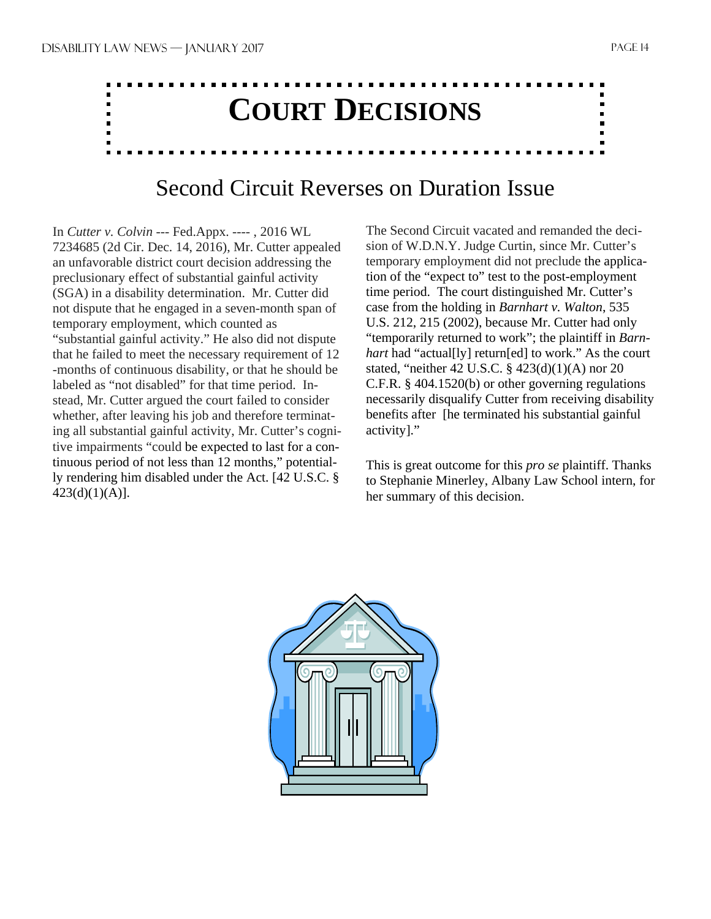# **COURT DECISIONS**

## Second Circuit Reverses on Duration Issue

In *Cutter v. Colvin* --- Fed.Appx. ---- , 2016 WL 7234685 (2d Cir. Dec. 14, 2016), Mr. Cutter appealed an unfavorable district court decision addressing the preclusionary effect of substantial gainful activity (SGA) in a disability determination. Mr. Cutter did not dispute that he engaged in a seven-month span of temporary employment, which counted as "substantial gainful activity." He also did not dispute that he failed to meet the necessary requirement of 12 -months of continuous disability, or that he should be labeled as "not disabled" for that time period. Instead, Mr. Cutter argued the court failed to consider whether, after leaving his job and therefore terminating all substantial gainful activity, Mr. Cutter's cognitive impairments "could be expected to last for a continuous period of not less than 12 months," potentially rendering him disabled under the Act. [42 U.S.C. § 423(d)(1)(A)].

The Second Circuit vacated and remanded the decision of W.D.N.Y. Judge Curtin, since Mr. Cutter's temporary employment did not preclude the application of the "expect to" test to the post-employment time period. The court distinguished Mr. Cutter's case from the holding in *Barnhart v. Walton*, 535 U.S. 212, 215 (2002), because Mr. Cutter had only "temporarily returned to work"; the plaintiff in *Barnhart* had "actual[ly] return[ed] to work." As the court stated, "neither 42 U.S.C. § 423(d)(1)(A) nor 20 C.F.R. § 404.1520(b) or other governing regulations necessarily disqualify Cutter from receiving disability benefits after [he terminated his substantial gainful activity]."

This is great outcome for this *pro se* plaintiff. Thanks to Stephanie Minerley, Albany Law School intern, for her summary of this decision.

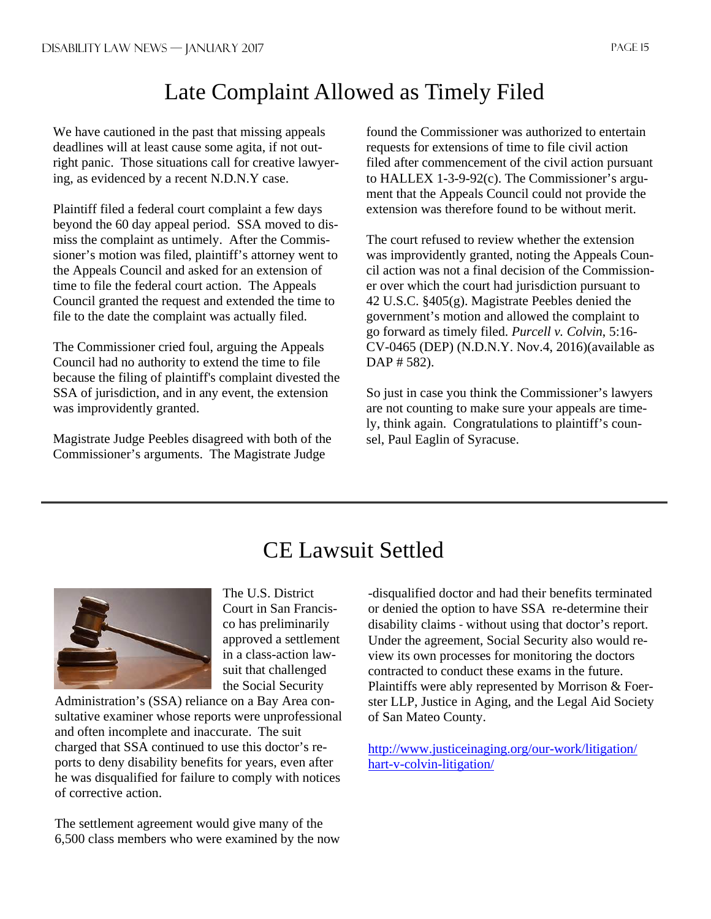## Late Complaint Allowed as Timely Filed

We have cautioned in the past that missing appeals deadlines will at least cause some agita, if not outright panic. Those situations call for creative lawyering, as evidenced by a recent N.D.N.Y case.

Plaintiff filed a federal court complaint a few days beyond the 60 day appeal period. SSA moved to dismiss the complaint as untimely. After the Commissioner's motion was filed, plaintiff's attorney went to the Appeals Council and asked for an extension of time to file the federal court action. The Appeals Council granted the request and extended the time to file to the date the complaint was actually filed.

The Commissioner cried foul, arguing the Appeals Council had no authority to extend the time to file because the filing of plaintiff's complaint divested the SSA of jurisdiction, and in any event, the extension was improvidently granted.

Magistrate Judge Peebles disagreed with both of the Commissioner's arguments. The Magistrate Judge

found the Commissioner was authorized to entertain requests for extensions of time to file civil action filed after commencement of the civil action pursuant to HALLEX 1-3-9-92(c). The Commissioner's argument that the Appeals Council could not provide the extension was therefore found to be without merit.

The court refused to review whether the extension was improvidently granted, noting the Appeals Council action was not a final decision of the Commissioner over which the court had jurisdiction pursuant to 42 U.S.C. §405(g). Magistrate Peebles denied the government's motion and allowed the complaint to go forward as timely filed. *Purcell v. Colvin*, 5:16- CV-0465 (DEP) (N.D.N.Y. Nov.4, 2016)(available as DAP # 582).

So just in case you think the Commissioner's lawyers are not counting to make sure your appeals are timely, think again. Congratulations to plaintiff's counsel, Paul Eaglin of Syracuse.

## CE Lawsuit Settled



The U.S. District Court in San Francisco has preliminarily approved a settlement in a class-action lawsuit that challenged the Social Security

Administration's (SSA) reliance on a Bay Area consultative examiner whose reports were unprofessional and often incomplete and inaccurate. The suit charged that SSA continued to use this doctor's reports to deny disability benefits for years, even after he was disqualified for failure to comply with notices of corrective action.

The settlement agreement would give many of the 6,500 class members who were examined by the now

-disqualified doctor and had their benefits terminated or denied the option to have SSA re-determine their disability claims ‐ without using that doctor's report. Under the agreement, Social Security also would review its own processes for monitoring the doctors contracted to conduct these exams in the future. Plaintiffs were ably represented by Morrison & Foerster LLP, Justice in Aging, and the Legal Aid Society of San Mateo County.

http://www.justiceinaging.org/our-work/litigation/ hart-v-colvin-litigation/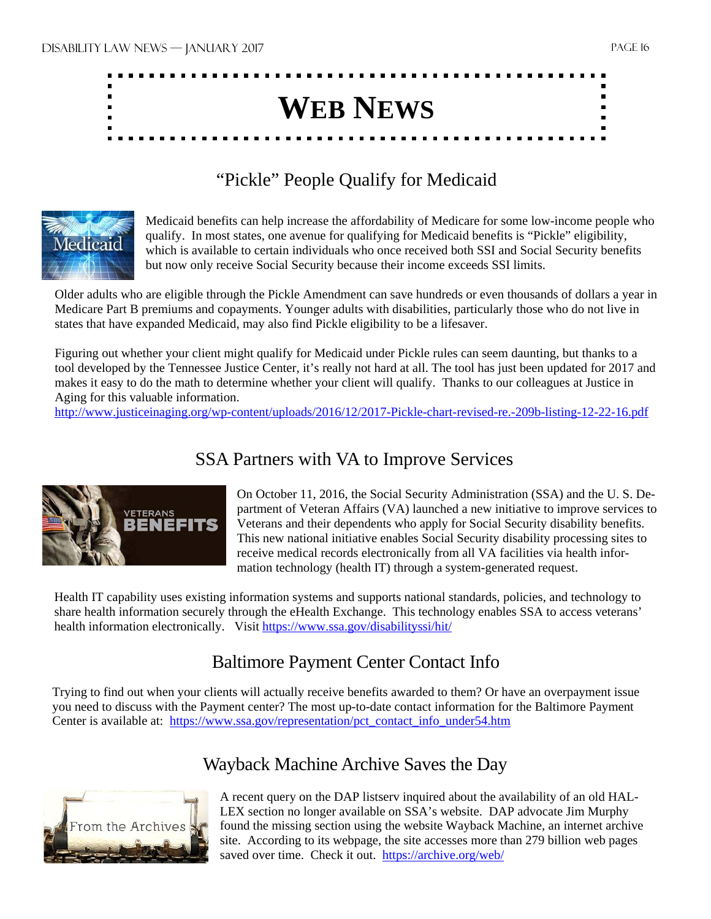

## "Pickle" People Qualify for Medicaid



Medicaid benefits can help increase the affordability of Medicare for some low-income people who qualify. In most states, one avenue for qualifying for Medicaid benefits is "Pickle" eligibility, which is available to certain individuals who once received both SSI and Social Security benefits but now only receive Social Security because their income exceeds SSI limits.

Older adults who are eligible through the Pickle Amendment can save hundreds or even thousands of dollars a year in Medicare Part B premiums and copayments. Younger adults with disabilities, particularly those who do not live in states that have expanded Medicaid, may also find Pickle eligibility to be a lifesaver.

Figuring out whether your client might qualify for Medicaid under Pickle rules can seem daunting, but thanks to a tool developed by the Tennessee Justice Center, it's really not hard at all. The tool has just been updated for 2017 and makes it easy to do the math to determine whether your client will qualify. Thanks to our colleagues at Justice in Aging for this valuable information.

http://www.justiceinaging.org/wp-content/uploads/2016/12/2017-Pickle-chart-revised-re.-209b-listing-12-22-16.pdf

## SSA Partners with VA to Improve Services



On October 11, 2016, the Social Security Administration (SSA) and the U. S. Department of Veteran Affairs (VA) launched a new initiative to improve services to Veterans and their dependents who apply for Social Security disability benefits. This new national initiative enables Social Security disability processing sites to receive medical records electronically from all VA facilities via health information technology (health IT) through a system-generated request.

Health IT capability uses existing information systems and supports national standards, policies, and technology to share health information securely through the eHealth Exchange. This technology enables SSA to access veterans' health information electronically. Visit https://www.ssa.gov/disabilityssi/hit/

## Baltimore Payment Center Contact Info

Trying to find out when your clients will actually receive benefits awarded to them? Or have an overpayment issue you need to discuss with the Payment center? The most up-to-date contact information for the Baltimore Payment Center is available at: https://www.ssa.gov/representation/pct\_contact\_info\_under54.htm



## Wayback Machine Archive Saves the Day

A recent query on the DAP listserv inquired about the availability of an old HAL-LEX section no longer available on SSA's website. DAP advocate Jim Murphy found the missing section using the website Wayback Machine, an internet archive site. According to its webpage, the site accesses more than 279 billion web pages saved over time. Check it out. https://archive.org/web/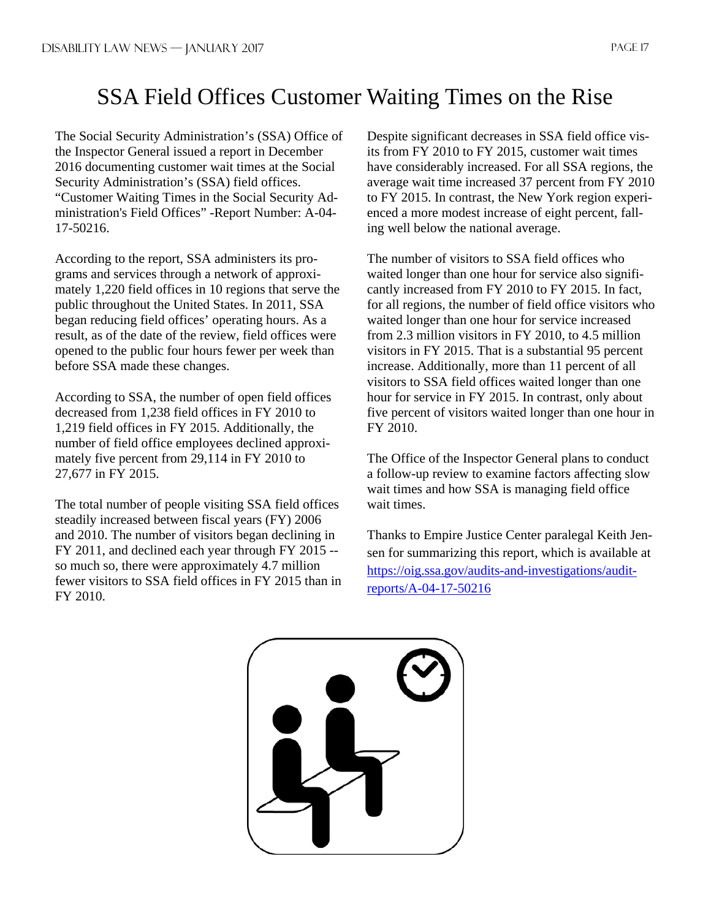## SSA Field Offices Customer Waiting Times on the Rise

The Social Security Administration's (SSA) Office of the Inspector General issued a report in December 2016 documenting customer wait times at the Social Security Administration's (SSA) field offices. "Customer Waiting Times in the Social Security Administration's Field Offices" -Report Number: A-04- 17-50216.

According to the report, SSA administers its programs and services through a network of approximately 1,220 field offices in 10 regions that serve the public throughout the United States. In 2011, SSA began reducing field offices' operating hours. As a result, as of the date of the review, field offices were opened to the public four hours fewer per week than before SSA made these changes.

According to SSA, the number of open field offices decreased from 1,238 field offices in FY 2010 to 1,219 field offices in FY 2015. Additionally, the number of field office employees declined approximately five percent from 29,114 in FY 2010 to 27,677 in FY 2015.

The total number of people visiting SSA field offices steadily increased between fiscal years (FY) 2006 and 2010. The number of visitors began declining in FY 2011, and declined each year through FY 2015 - so much so, there were approximately 4.7 million fewer visitors to SSA field offices in FY 2015 than in FY 2010.

Despite significant decreases in SSA field office visits from FY 2010 to FY 2015, customer wait times have considerably increased. For all SSA regions, the average wait time increased 37 percent from FY 2010 to FY 2015. In contrast, the New York region experienced a more modest increase of eight percent, falling well below the national average.

The number of visitors to SSA field offices who waited longer than one hour for service also significantly increased from FY 2010 to FY 2015. In fact, for all regions, the number of field office visitors who waited longer than one hour for service increased from 2.3 million visitors in FY 2010, to 4.5 million visitors in FY 2015. That is a substantial 95 percent increase. Additionally, more than 11 percent of all visitors to SSA field offices waited longer than one hour for service in FY 2015. In contrast, only about five percent of visitors waited longer than one hour in FY 2010.

The Office of the Inspector General plans to conduct a follow-up review to examine factors affecting slow wait times and how SSA is managing field office wait times.

Thanks to Empire Justice Center paralegal Keith Jensen for summarizing this report, which is available at https://oig.ssa.gov/audits-and-investigations/auditreports/A-04-17-50216

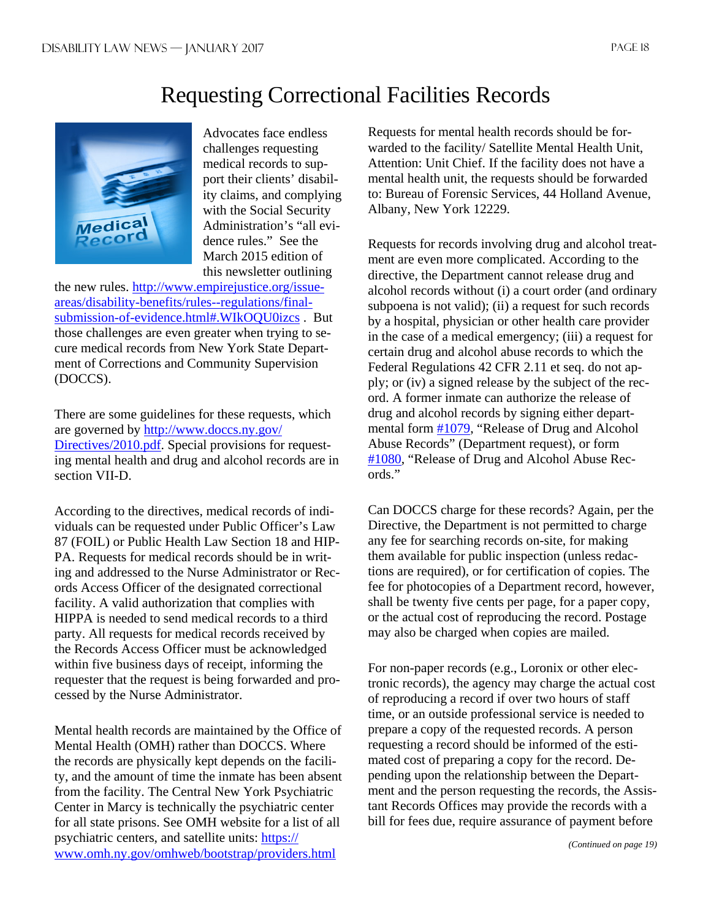## Requesting Correctional Facilities Records



Advocates face endless challenges requesting medical records to support their clients' disability claims, and complying with the Social Security Administration's "all evidence rules." See the March 2015 edition of this newsletter outlining

the new rules. http://www.empirejustice.org/issueareas/disability-benefits/rules--regulations/finalsubmission-of-evidence.html#.WIkOQU0izcs . But those challenges are even greater when trying to secure medical records from New York State Department of Corrections and Community Supervision (DOCCS).

There are some guidelines for these requests, which are governed by http://www.doccs.ny.gov/ Directives/2010.pdf. Special provisions for requesting mental health and drug and alcohol records are in section VII-D.

According to the directives, medical records of individuals can be requested under Public Officer's Law 87 (FOIL) or Public Health Law Section 18 and HIP-PA. Requests for medical records should be in writing and addressed to the Nurse Administrator or Records Access Officer of the designated correctional facility. A valid authorization that complies with HIPPA is needed to send medical records to a third party. All requests for medical records received by the Records Access Officer must be acknowledged within five business days of receipt, informing the requester that the request is being forwarded and processed by the Nurse Administrator.

Mental health records are maintained by the Office of Mental Health (OMH) rather than DOCCS. Where the records are physically kept depends on the facility, and the amount of time the inmate has been absent from the facility. The Central New York Psychiatric Center in Marcy is technically the psychiatric center for all state prisons. See OMH website for a list of all psychiatric centers, and satellite units: https:// www.omh.ny.gov/omhweb/bootstrap/providers.html

Requests for mental health records should be forwarded to the facility/ Satellite Mental Health Unit, Attention: Unit Chief. If the facility does not have a mental health unit, the requests should be forwarded to: Bureau of Forensic Services, 44 Holland Avenue, Albany, New York 12229.

Requests for records involving drug and alcohol treatment are even more complicated. According to the directive, the Department cannot release drug and alcohol records without (i) a court order (and ordinary subpoena is not valid); (ii) a request for such records by a hospital, physician or other health care provider in the case of a medical emergency; (iii) a request for certain drug and alcohol abuse records to which the Federal Regulations 42 CFR 2.11 et seq. do not apply; or (iv) a signed release by the subject of the record. A former inmate can authorize the release of drug and alcohol records by signing either departmental form #1079, "Release of Drug and Alcohol Abuse Records" (Department request), or form #1080, "Release of Drug and Alcohol Abuse Records."

Can DOCCS charge for these records? Again, per the Directive, the Department is not permitted to charge any fee for searching records on-site, for making them available for public inspection (unless redactions are required), or for certification of copies. The fee for photocopies of a Department record, however, shall be twenty five cents per page, for a paper copy, or the actual cost of reproducing the record. Postage may also be charged when copies are mailed.

For non-paper records (e.g., Loronix or other electronic records), the agency may charge the actual cost of reproducing a record if over two hours of staff time, or an outside professional service is needed to prepare a copy of the requested records. A person requesting a record should be informed of the estimated cost of preparing a copy for the record. Depending upon the relationship between the Department and the person requesting the records, the Assistant Records Offices may provide the records with a bill for fees due, require assurance of payment before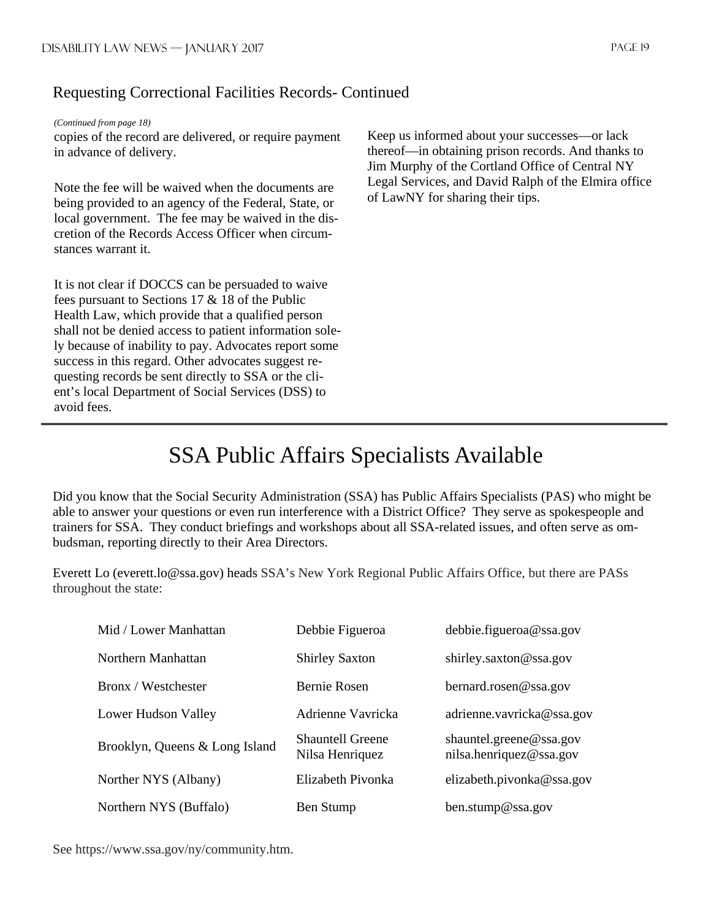## Requesting Correctional Facilities Records- Continued

#### *(Continued from page 18)*

copies of the record are delivered, or require payment in advance of delivery.

Note the fee will be waived when the documents are being provided to an agency of the Federal, State, or local government. The fee may be waived in the discretion of the Records Access Officer when circumstances warrant it.

It is not clear if DOCCS can be persuaded to waive fees pursuant to Sections 17 & 18 of the Public Health Law, which provide that a qualified person shall not be denied access to patient information solely because of inability to pay. Advocates report some success in this regard. Other advocates suggest requesting records be sent directly to SSA or the client's local Department of Social Services (DSS) to avoid fees.

Keep us informed about your successes—or lack thereof—in obtaining prison records. And thanks to Jim Murphy of the Cortland Office of Central NY Legal Services, and David Ralph of the Elmira office of LawNY for sharing their tips.

## SSA Public Affairs Specialists Available

Did you know that the Social Security Administration (SSA) has Public Affairs Specialists (PAS) who might be able to answer your questions or even run interference with a District Office? They serve as spokespeople and trainers for SSA. They conduct briefings and workshops about all SSA-related issues, and often serve as ombudsman, reporting directly to their Area Directors.

Everett Lo (everett.lo@ssa.gov) heads SSA's New York Regional Public Affairs Office, but there are PASs throughout the state:

| Mid / Lower Manhattan          | Debbie Figueroa                            | debbie.figueroa@ssa.gov                            |
|--------------------------------|--------------------------------------------|----------------------------------------------------|
| Northern Manhattan             | <b>Shirley Saxton</b>                      | shirley.saxton@ssa.gov                             |
| Bronx / Westchester            | Bernie Rosen                               | bernard.rosen@ssa.gov                              |
| Lower Hudson Valley            | Adrienne Vavricka                          | adrienne.vavricka@ssa.gov                          |
| Brooklyn, Queens & Long Island | <b>Shauntell Greene</b><br>Nilsa Henriquez | shauntel.greene@ssa.gov<br>nilsa.henriquez@ssa.gov |
| Norther NYS (Albany)           | Elizabeth Pivonka                          | elizabeth.pivonka@ssa.gov                          |
| Northern NYS (Buffalo)         | Ben Stump                                  | ben.stump@ssa.gov                                  |

See https://www.ssa.gov/ny/community.htm.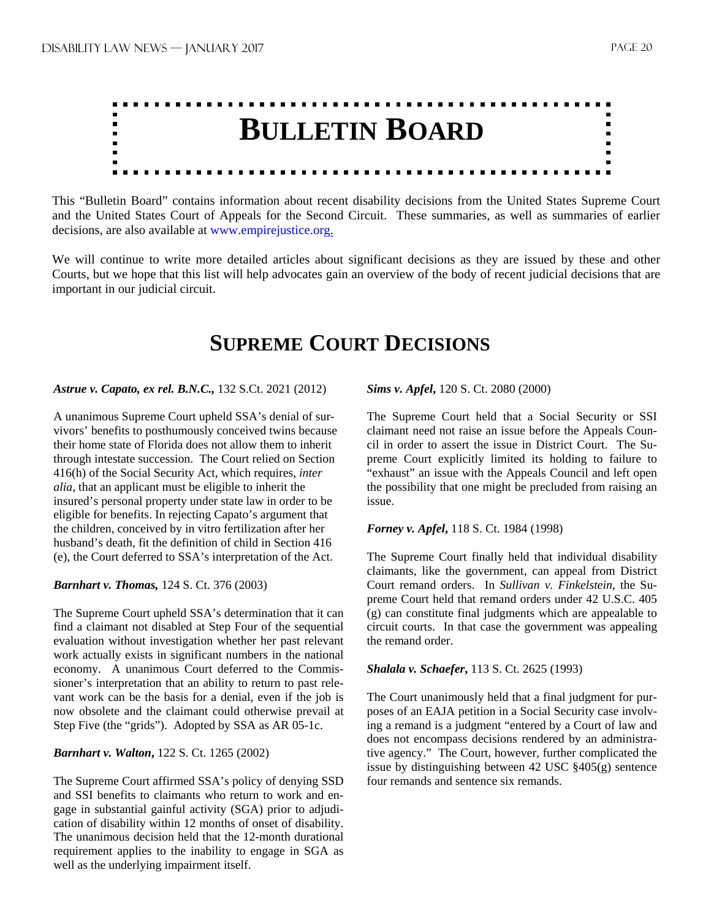

This "Bulletin Board" contains information about recent disability decisions from the United States Supreme Court and the United States Court of Appeals for the Second Circuit. These summaries, as well as summaries of earlier decisions, are also available at www.empirejustice.org.

We will continue to write more detailed articles about significant decisions as they are issued by these and other Courts, but we hope that this list will help advocates gain an overview of the body of recent judicial decisions that are important in our judicial circuit.

## **SUPREME COURT DECISIONS**

#### *Astrue v. Capato, ex rel. B.N.C.,* 132 S.Ct. 2021 (2012)

A unanimous Supreme Court upheld SSA's denial of survivors' benefits to posthumously conceived twins because their home state of Florida does not allow them to inherit through intestate succession. The Court relied on Section 416(h) of the Social Security Act, which requires, *inter alia,* that an applicant must be eligible to inherit the insured's personal property under state law in order to be eligible for benefits. In rejecting Capato's argument that the children, conceived by in vitro fertilization after her husband's death, fit the definition of child in Section 416 (e), the Court deferred to SSA's interpretation of the Act.

#### *Barnhart v. Thomas,* 124 S. Ct. 376 (2003)

The Supreme Court upheld SSA's determination that it can find a claimant not disabled at Step Four of the sequential evaluation without investigation whether her past relevant work actually exists in significant numbers in the national economy. A unanimous Court deferred to the Commissioner's interpretation that an ability to return to past relevant work can be the basis for a denial, even if the job is now obsolete and the claimant could otherwise prevail at Step Five (the "grids"). Adopted by SSA as AR 05-1c.

#### *Barnhart v. Walton***,** 122 S. Ct. 1265 (2002)

The Supreme Court affirmed SSA's policy of denying SSD and SSI benefits to claimants who return to work and engage in substantial gainful activity (SGA) prior to adjudication of disability within 12 months of onset of disability. The unanimous decision held that the 12-month durational requirement applies to the inability to engage in SGA as well as the underlying impairment itself.

*Sims v. Apfel***,** 120 S. Ct. 2080 (2000)

The Supreme Court held that a Social Security or SSI claimant need not raise an issue before the Appeals Council in order to assert the issue in District Court. The Supreme Court explicitly limited its holding to failure to "exhaust" an issue with the Appeals Council and left open the possibility that one might be precluded from raising an issue.

#### *Forney v. Apfel***,** 118 S. Ct. 1984 (1998)

The Supreme Court finally held that individual disability claimants, like the government, can appeal from District Court remand orders. In *Sullivan v. Finkelstein*, the Supreme Court held that remand orders under 42 U.S.C. 405 (g) can constitute final judgments which are appealable to circuit courts. In that case the government was appealing the remand order.

#### *Shalala v. Schaefer***,** 113 S. Ct. 2625 (1993)

The Court unanimously held that a final judgment for purposes of an EAJA petition in a Social Security case involving a remand is a judgment "entered by a Court of law and does not encompass decisions rendered by an administrative agency." The Court, however, further complicated the issue by distinguishing between 42 USC §405(g) sentence four remands and sentence six remands.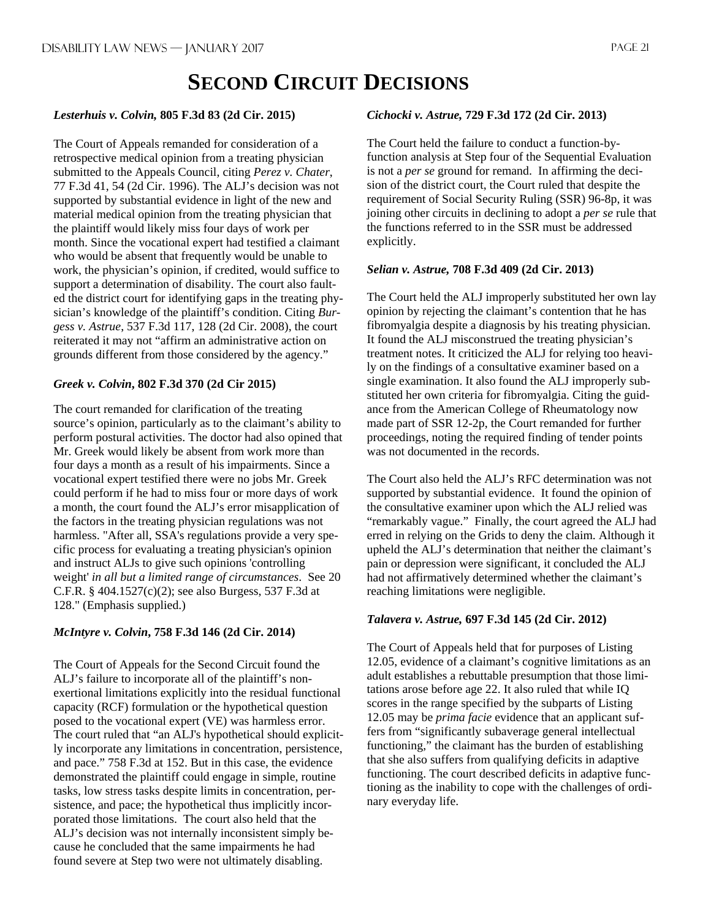## **SECOND CIRCUIT DECISIONS**

#### *Lesterhuis v. Colvin,* **805 F.3d 83 (2d Cir. 2015)**

The Court of Appeals remanded for consideration of a retrospective medical opinion from a treating physician submitted to the Appeals Council, citing *Perez v. Chater*, 77 F.3d 41, 54 (2d Cir. 1996). The ALJ's decision was not supported by substantial evidence in light of the new and material medical opinion from the treating physician that the plaintiff would likely miss four days of work per month. Since the vocational expert had testified a claimant who would be absent that frequently would be unable to work, the physician's opinion, if credited, would suffice to support a determination of disability. The court also faulted the district court for identifying gaps in the treating physician's knowledge of the plaintiff's condition. Citing *Burgess v. Astrue*, 537 F.3d 117, 128 (2d Cir. 2008), the court reiterated it may not "affirm an administrative action on grounds different from those considered by the agency."

#### *Greek v. Colvin***, 802 F.3d 370 (2d Cir 2015)**

The court remanded for clarification of the treating source's opinion, particularly as to the claimant's ability to perform postural activities. The doctor had also opined that Mr. Greek would likely be absent from work more than four days a month as a result of his impairments. Since a vocational expert testified there were no jobs Mr. Greek could perform if he had to miss four or more days of work a month, the court found the ALJ's error misapplication of the factors in the treating physician regulations was not harmless. "After all, SSA's regulations provide a very specific process for evaluating a treating physician's opinion and instruct ALJs to give such opinions 'controlling weight' *in all but a limited range of circumstances*. See 20 C.F.R. § 404.1527(c)(2); see also Burgess, 537 F.3d at 128." (Emphasis supplied.)

#### *McIntyre v. Colvin***, 758 F.3d 146 (2d Cir. 2014)**

The Court of Appeals for the Second Circuit found the ALJ's failure to incorporate all of the plaintiff's nonexertional limitations explicitly into the residual functional capacity (RCF) formulation or the hypothetical question posed to the vocational expert (VE) was harmless error. The court ruled that "an ALJ's hypothetical should explicitly incorporate any limitations in concentration, persistence, and pace." 758 F.3d at 152. But in this case, the evidence demonstrated the plaintiff could engage in simple, routine tasks, low stress tasks despite limits in concentration, persistence, and pace; the hypothetical thus implicitly incorporated those limitations. The court also held that the ALJ's decision was not internally inconsistent simply because he concluded that the same impairments he had found severe at Step two were not ultimately disabling.

#### *Cichocki v. Astrue,* **729 F.3d 172 (2d Cir. 2013)**

The Court held the failure to conduct a function-byfunction analysis at Step four of the Sequential Evaluation is not a *per se* ground for remand. In affirming the decision of the district court, the Court ruled that despite the requirement of Social Security Ruling (SSR) 96-8p, it was joining other circuits in declining to adopt a *per se* rule that the functions referred to in the SSR must be addressed explicitly.

#### *Selian v. Astrue,* **708 F.3d 409 (2d Cir. 2013)**

The Court held the ALJ improperly substituted her own lay opinion by rejecting the claimant's contention that he has fibromyalgia despite a diagnosis by his treating physician. It found the ALJ misconstrued the treating physician's treatment notes. It criticized the ALJ for relying too heavily on the findings of a consultative examiner based on a single examination. It also found the ALJ improperly substituted her own criteria for fibromyalgia. Citing the guidance from the American College of Rheumatology now made part of SSR 12-2p, the Court remanded for further proceedings, noting the required finding of tender points was not documented in the records.

The Court also held the ALJ's RFC determination was not supported by substantial evidence. It found the opinion of the consultative examiner upon which the ALJ relied was "remarkably vague." Finally, the court agreed the ALJ had erred in relying on the Grids to deny the claim. Although it upheld the ALJ's determination that neither the claimant's pain or depression were significant, it concluded the ALJ had not affirmatively determined whether the claimant's reaching limitations were negligible.

#### *Talavera v. Astrue,* **697 F.3d 145 (2d Cir. 2012)**

The Court of Appeals held that for purposes of Listing 12.05, evidence of a claimant's cognitive limitations as an adult establishes a rebuttable presumption that those limitations arose before age 22. It also ruled that while IQ scores in the range specified by the subparts of Listing 12.05 may be *prima facie* evidence that an applicant suffers from "significantly subaverage general intellectual functioning," the claimant has the burden of establishing that she also suffers from qualifying deficits in adaptive functioning. The court described deficits in adaptive functioning as the inability to cope with the challenges of ordinary everyday life.